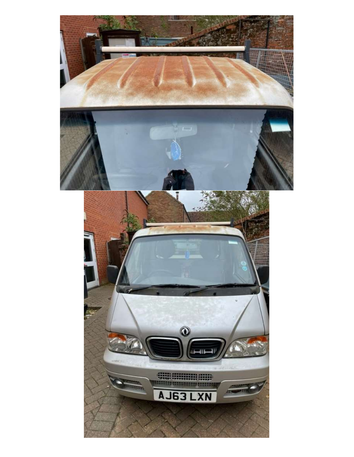